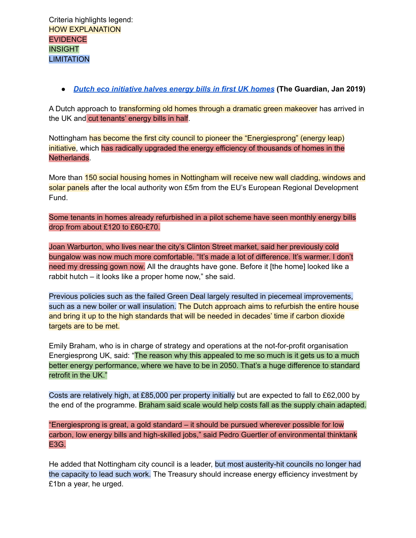**●** *Dutch eco [initiative](https://www.theguardian.com/society/2019/jan/07/dutch-eco-homes-idea-arrives-in-uk-and-cuts-energy-bills-in-half-nottingham-energiesprong?utm_source=Solutions+Story+Tracker) halves energy bills in first UK homes* **(The Guardian, Jan 2019)**

A Dutch approach to transforming old homes through a dramatic green makeover has arrived in the UK and cut tenants' energy bills in half.

Nottingham has become the first city council to pioneer the "Energiesprong" (energy leap) initiative, which has radically upgraded the energy efficiency of thousands of homes in the Netherlands.

More than 150 social housing homes in Nottingham will receive new wall cladding, windows and solar panels after the local authority won £5m from the EU's European Regional Development Fund.

Some tenants in homes already refurbished in a pilot scheme have seen monthly energy bills drop from about £120 to £60-£70.

Joan Warburton, who lives near the city's Clinton Street market, said her previously cold bungalow was now much more comfortable. "It's made a lot of difference. It's warmer. I don't need my dressing gown now. All the draughts have gone. Before it [the home] looked like a rabbit hutch – it looks like a proper home now," she said.

Previous policies such as the failed Green Deal largely resulted in piecemeal improvements, such as a new boiler or wall insulation. The Dutch approach aims to refurbish the entire house and bring it up to the high standards that will be needed in decades' time if carbon dioxide targets are to be met.

Emily Braham, who is in charge of strategy and operations at the not-for-profit organisation Energiesprong UK, said: "The reason why this appealed to me so much is it gets us to a much better energy performance, where we have to be in 2050. That's a huge difference to standard retrofit in the UK."

Costs are relatively high, at £85,000 per property initially but are expected to fall to £62,000 by the end of the programme. Braham said scale would help costs fall as the supply chain adapted.

"Energiesprong is great, a gold standard – it should be pursued wherever possible for low carbon, low energy bills and high-skilled jobs," said Pedro Guertler of environmental thinktank E3G.

He added that Nottingham city council is a leader, but most austerity-hit councils no longer had the capacity to lead such work. The Treasury should increase energy efficiency investment by £1bn a year, he urged.